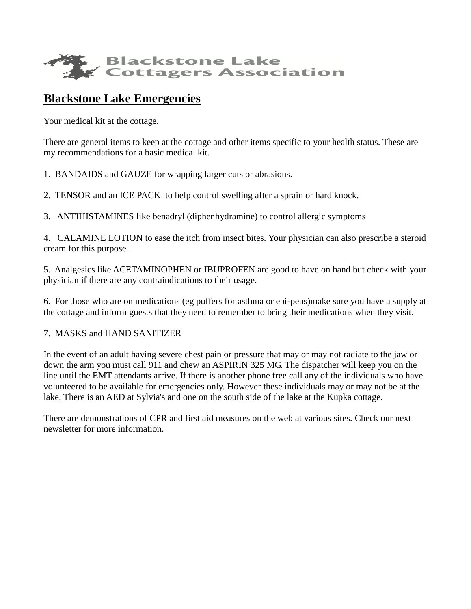

## **Blackstone Lake Emergencies**

Your medical kit at the cottage.

There are general items to keep at the cottage and other items specific to your health status. These are my recommendations for a basic medical kit.

1. BANDAIDS and GAUZE for wrapping larger cuts or abrasions.

2. TENSOR and an ICE PACK to help control swelling after a sprain or hard knock.

3. ANTIHISTAMINES like benadryl (diphenhydramine) to control allergic symptoms

4. CALAMINE LOTION to ease the itch from insect bites. Your physician can also prescribe a steroid cream for this purpose.

5. Analgesics like ACETAMINOPHEN or IBUPROFEN are good to have on hand but check with your physician if there are any contraindications to their usage.

6. For those who are on medications (eg puffers for asthma or epi-pens)make sure you have a supply at the cottage and inform guests that they need to remember to bring their medications when they visit.

## 7. MASKS and HAND SANITIZER

In the event of an adult having severe chest pain or pressure that may or may not radiate to the jaw or down the arm you must call 911 and chew an ASPIRIN 325 MG. The dispatcher will keep you on the line until the EMT attendants arrive. If there is another phone free call any of the individuals who have volunteered to be available for emergencies only. However these individuals may or may not be at the lake. There is an AED at Sylvia's and one on the south side of the lake at the Kupka cottage.

There are demonstrations of CPR and first aid measures on the web at various sites. Check our next newsletter for more information.